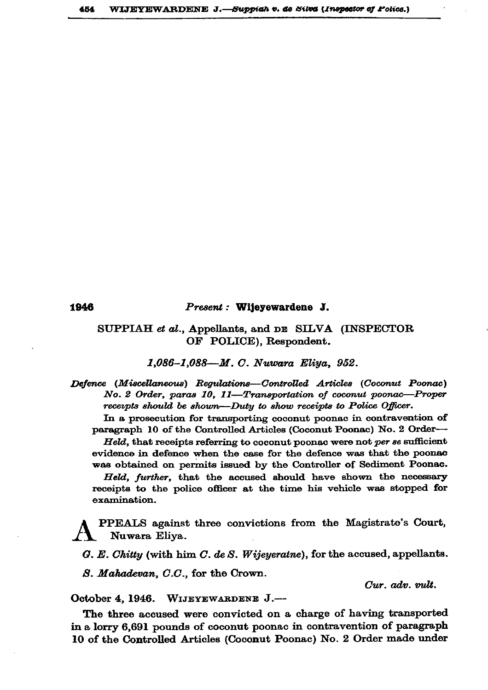1946

## Present: Wijeyewardene J.

## SUPPIAH et al., Appellants, and DE SILVA (INSPECTOR OF POLICE), Respondent.

1,086-1,088-M. C. Nuwara Eliya, 952.

Defence (Miscellaneous) Regulations--Controlled Articles (Coconut Poonac) No. 2 Order, paras 10, 11-Transportation of coconut poonac-Proper receipts should be shown—Duty to show receipts to Police Officer.

In a prosecution for transporting coconut poonac in contravention of paragraph 10 of the Controlled Articles (Coconut Poonac) No. 2 Order-

Held, that receipts referring to coconut poonac were not per se sufficient evidence in defence when the case for the defence was that the poonse was obtained on permits issued by the Controller of Sediment Poonac.

Held, further, that the accused should have shown the necessary receipts to the police officer at the time his vehicle was stopped for examination.

PPEALS against three convictions from the Magistrate's Court, Nuwara Eliva.

G. E. Chitty (with him C. de S. Wijeyeratre), for the accused, appellants.

S. Mahadevan, C.C., for the Crown.

Cur. adv. vult.

October 4, 1946. WIJEYEWARDENE J.-

The three accused were convicted on a charge of having transported in a lorry 6,691 pounds of coconut poonac in contravention of paragraph 10 of the Controlled Articles (Coconut Poonac) No. 2 Order made under